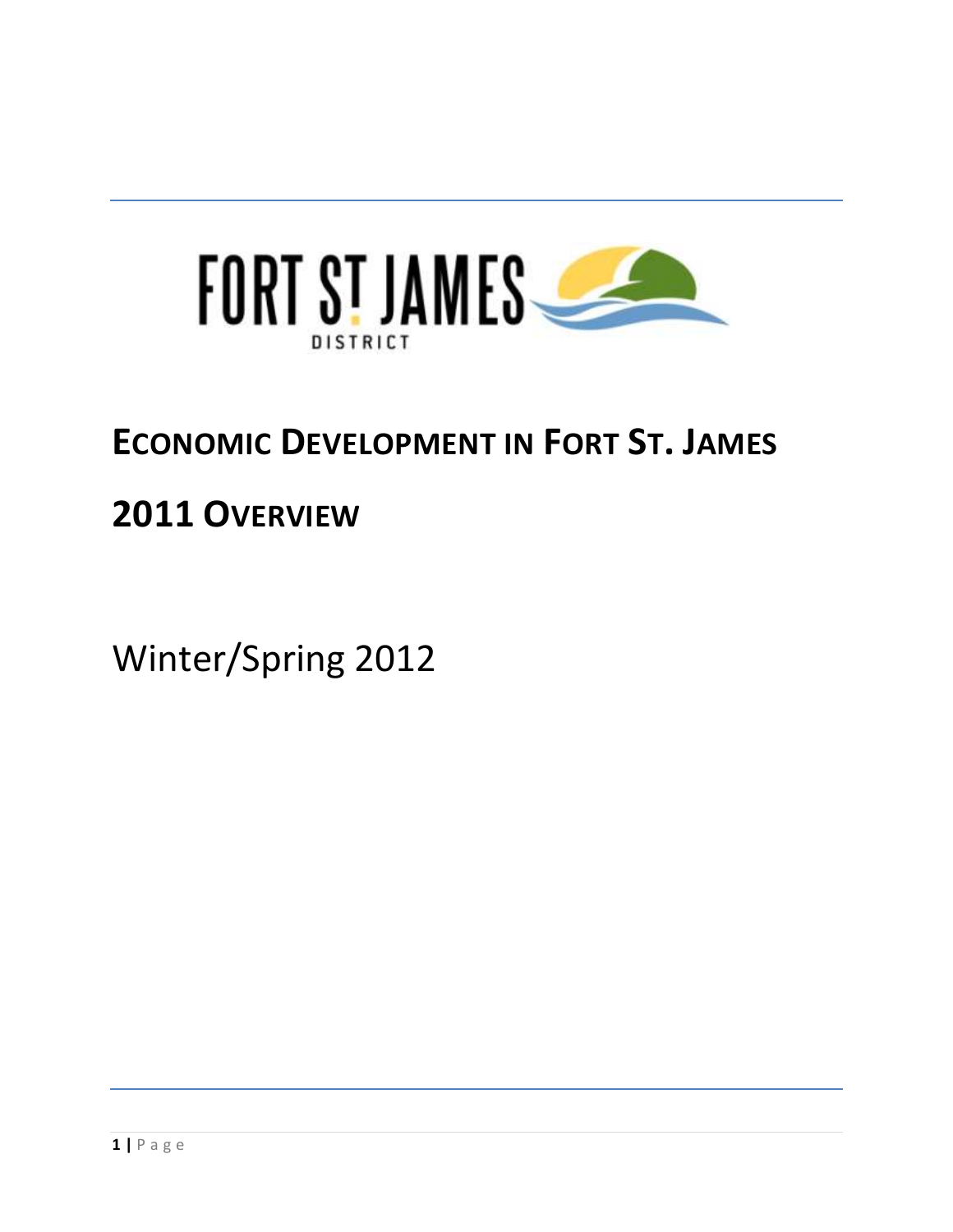

### **ECONOMIC DEVELOPMENT IN FORT ST. JAMES**

### **2011 OVERVIEW**

Winter/Spring 2012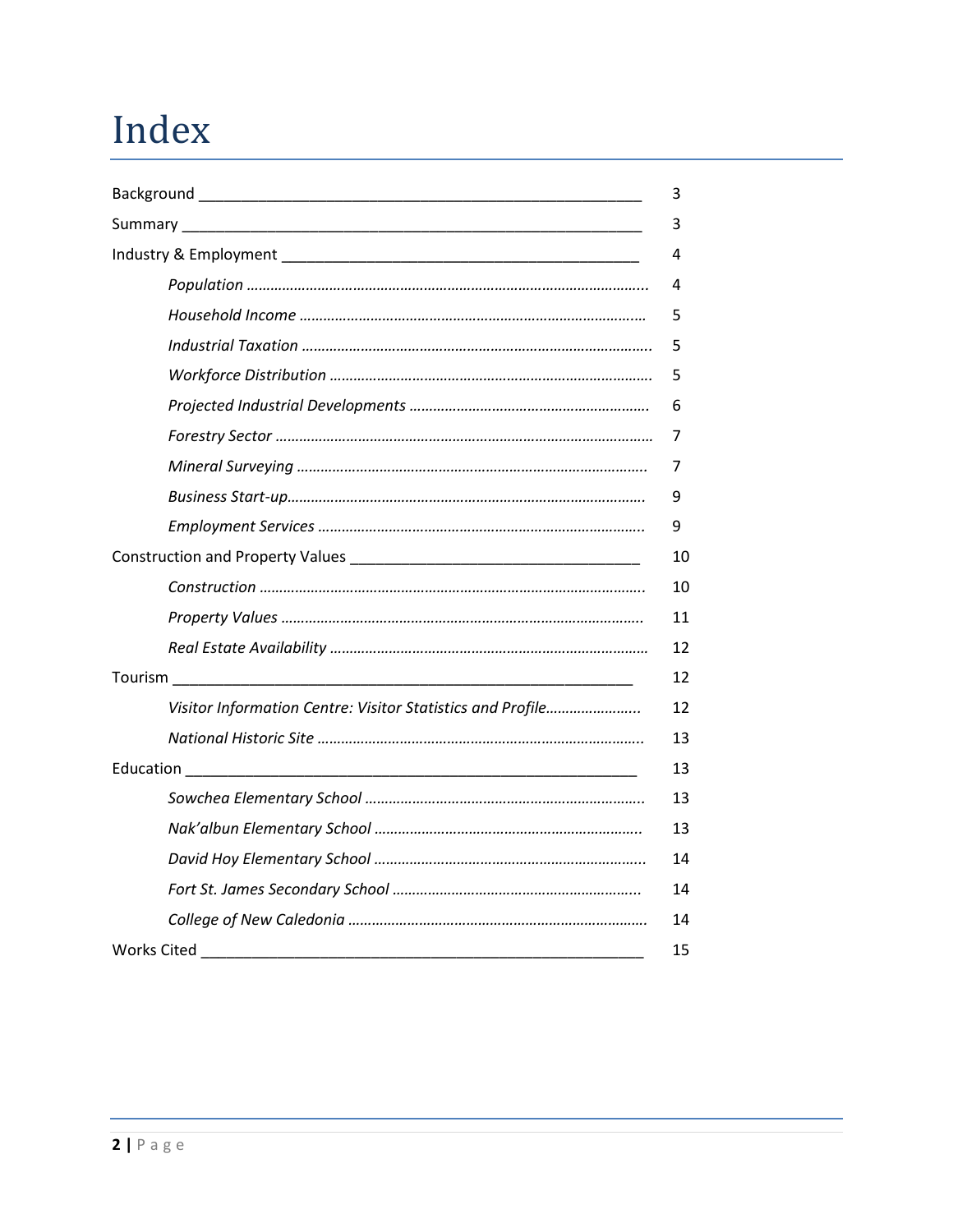### Index

| Visitor Information Centre: Visitor Statistics and Profile |
|------------------------------------------------------------|
|                                                            |
|                                                            |
|                                                            |
|                                                            |
|                                                            |
|                                                            |
|                                                            |
|                                                            |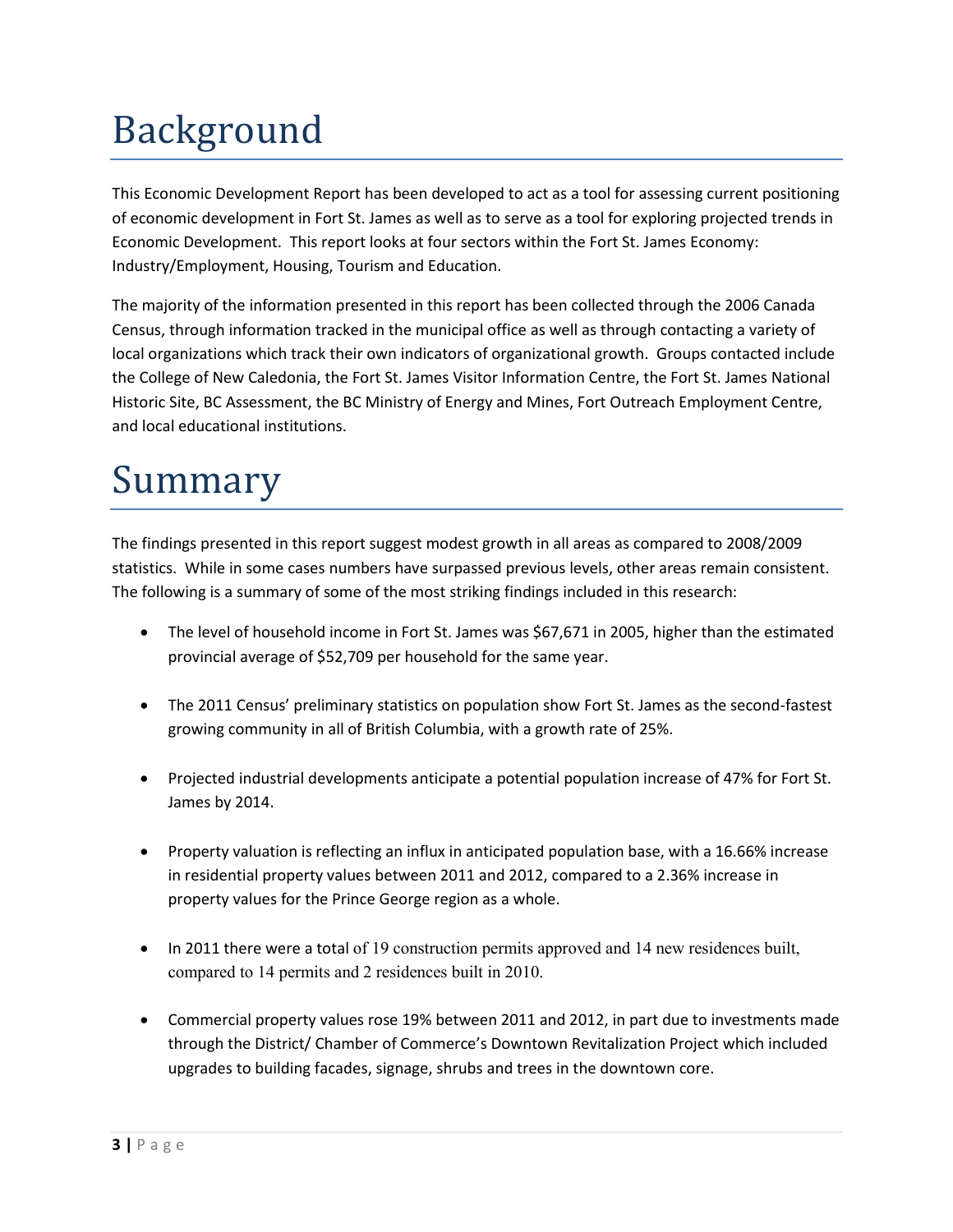# Background

This Economic Development Report has been developed to act as a tool for assessing current positioning of economic development in Fort St. James as well as to serve as a tool for exploring projected trends in Economic Development. This report looks at four sectors within the Fort St. James Economy: Industry/Employment, Housing, Tourism and Education.

The majority of the information presented in this report has been collected through the 2006 Canada Census, through information tracked in the municipal office as well as through contacting a variety of local organizations which track their own indicators of organizational growth. Groups contacted include the College of New Caledonia, the Fort St. James Visitor Information Centre, the Fort St. James National Historic Site, BC Assessment, the BC Ministry of Energy and Mines, Fort Outreach Employment Centre, and local educational institutions.

### Summary

The findings presented in this report suggest modest growth in all areas as compared to 2008/2009 statistics. While in some cases numbers have surpassed previous levels, other areas remain consistent. The following is a summary of some of the most striking findings included in this research:

- The level of household income in Fort St. James was \$67,671 in 2005, higher than the estimated provincial average of \$52,709 per household for the same year.
- The 2011 Census' preliminary statistics on population show Fort St. James as the second-fastest growing community in all of British Columbia, with a growth rate of 25%.
- Projected industrial developments anticipate a potential population increase of 47% for Fort St. James by 2014.
- Property valuation is reflecting an influx in anticipated population base, with a 16.66% increase in residential property values between 2011 and 2012, compared to a 2.36% increase in property values for the Prince George region as a whole.
- In 2011 there were a total of 19 construction permits approved and 14 new residences built, compared to 14 permits and 2 residences built in 2010.
- Commercial property values rose 19% between 2011 and 2012, in part due to investments made through the District/ Chamber of Commerce's Downtown Revitalization Project which included upgrades to building facades, signage, shrubs and trees in the downtown core.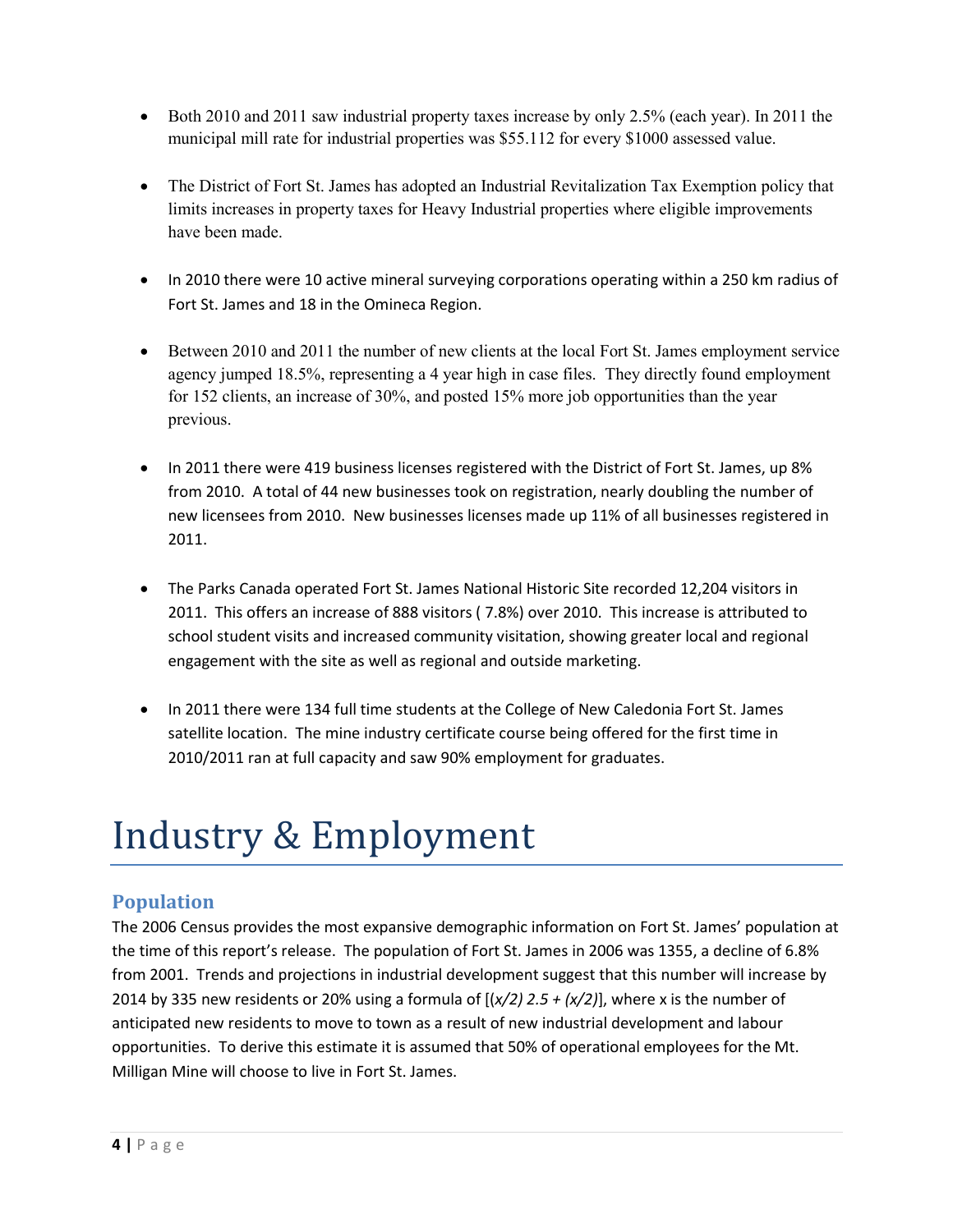- Both 2010 and 2011 saw industrial property taxes increase by only 2.5% (each year). In 2011 the municipal mill rate for industrial properties was \$55.112 for every \$1000 assessed value.
- The District of Fort St. James has adopted an Industrial Revitalization Tax Exemption policy that limits increases in property taxes for Heavy Industrial properties where eligible improvements have been made.
- In 2010 there were 10 active mineral surveying corporations operating within a 250 km radius of Fort St. James and 18 in the Omineca Region.
- Between 2010 and 2011 the number of new clients at the local Fort St. James employment service agency jumped 18.5%, representing a 4 year high in case files. They directly found employment for 152 clients, an increase of 30%, and posted 15% more job opportunities than the year previous.
- In 2011 there were 419 business licenses registered with the District of Fort St. James, up 8% from 2010. A total of 44 new businesses took on registration, nearly doubling the number of new licensees from 2010. New businesses licenses made up 11% of all businesses registered in 2011.
- The Parks Canada operated Fort St. James National Historic Site recorded 12,204 visitors in 2011. This offers an increase of 888 visitors ( 7.8%) over 2010. This increase is attributed to school student visits and increased community visitation, showing greater local and regional engagement with the site as well as regional and outside marketing.
- In 2011 there were 134 full time students at the College of New Caledonia Fort St. James satellite location. The mine industry certificate course being offered for the first time in 2010/2011 ran at full capacity and saw 90% employment for graduates.

## Industry & Employment

### **Population**

The 2006 Census provides the most expansive demographic information on Fort St. James' population at the time of this report's release. The population of Fort St. James in 2006 was 1355, a decline of 6.8% from 2001. Trends and projections in industrial development suggest that this number will increase by 2014 by 335 new residents or 20% using a formula of  $[(x/2) 2.5 + (x/2)]$ , where x is the number of anticipated new residents to move to town as a result of new industrial development and labour opportunities. To derive this estimate it is assumed that 50% of operational employees for the Mt. Milligan Mine will choose to live in Fort St. James.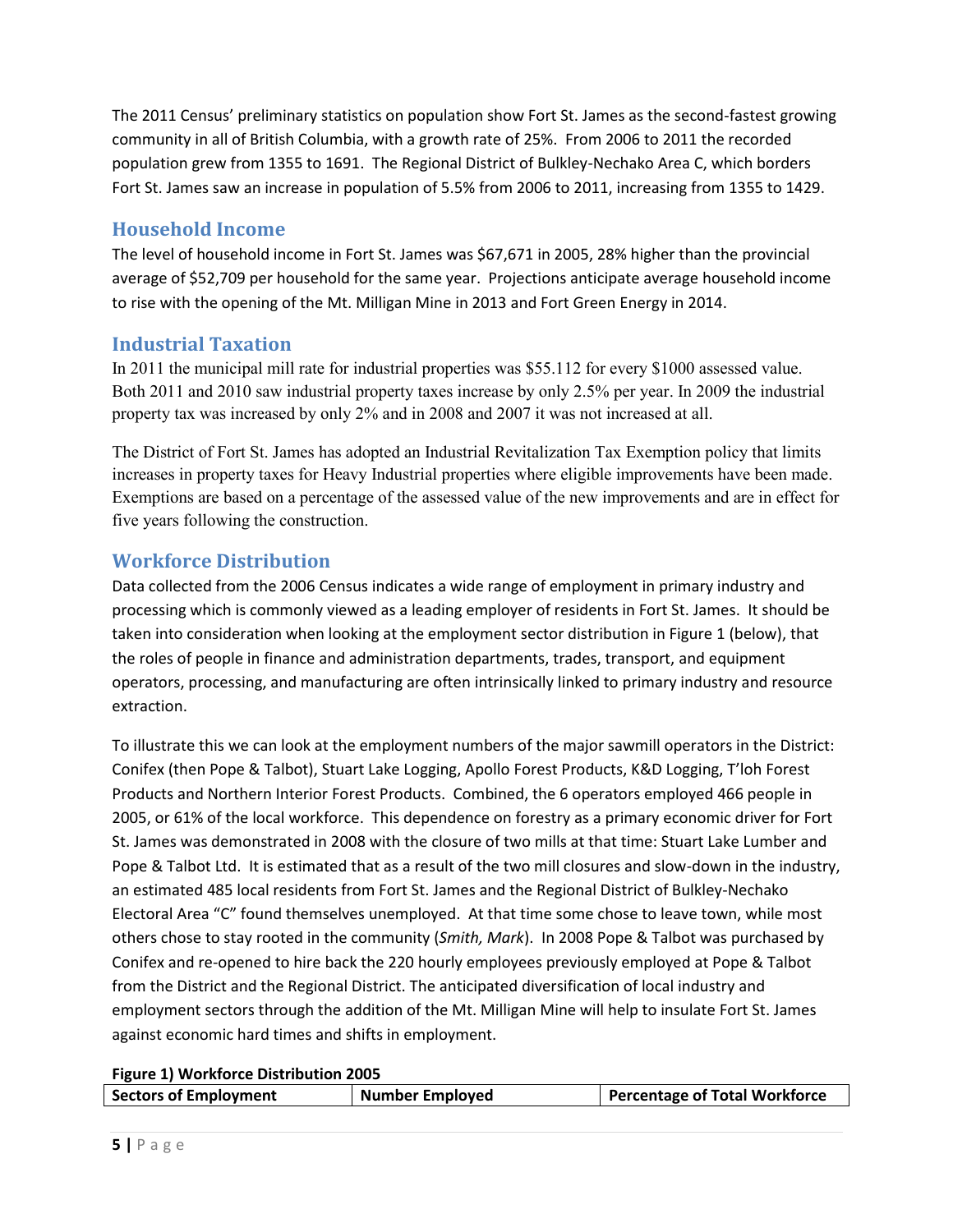The 2011 Census' preliminary statistics on population show Fort St. James as the second-fastest growing community in all of British Columbia, with a growth rate of 25%. From 2006 to 2011 the recorded population grew from 1355 to 1691. The Regional District of Bulkley-Nechako Area C, which borders Fort St. James saw an increase in population of 5.5% from 2006 to 2011, increasing from 1355 to 1429.

#### **Household Income**

The level of household income in Fort St. James was \$67,671 in 2005, 28% higher than the provincial average of \$52,709 per household for the same year. Projections anticipate average household income to rise with the opening of the Mt. Milligan Mine in 2013 and Fort Green Energy in 2014.

#### **Industrial Taxation**

In 2011 the municipal mill rate for industrial properties was \$55.112 for every \$1000 assessed value. Both 2011 and 2010 saw industrial property taxes increase by only 2.5% per year. In 2009 the industrial property tax was increased by only 2% and in 2008 and 2007 it was not increased at all.

The District of Fort St. James has adopted an Industrial Revitalization Tax Exemption policy that limits increases in property taxes for Heavy Industrial properties where eligible improvements have been made. Exemptions are based on a percentage of the assessed value of the new improvements and are in effect for five years following the construction.

#### **Workforce Distribution**

Data collected from the 2006 Census indicates a wide range of employment in primary industry and processing which is commonly viewed as a leading employer of residents in Fort St. James. It should be taken into consideration when looking at the employment sector distribution in Figure 1 (below), that the roles of people in finance and administration departments, trades, transport, and equipment operators, processing, and manufacturing are often intrinsically linked to primary industry and resource extraction.

To illustrate this we can look at the employment numbers of the major sawmill operators in the District: Conifex (then Pope & Talbot), Stuart Lake Logging, Apollo Forest Products, K&D Logging, T'loh Forest Products and Northern Interior Forest Products. Combined, the 6 operators employed 466 people in 2005, or 61% of the local workforce. This dependence on forestry as a primary economic driver for Fort St. James was demonstrated in 2008 with the closure of two mills at that time: Stuart Lake Lumber and Pope & Talbot Ltd. It is estimated that as a result of the two mill closures and slow-down in the industry, an estimated 485 local residents from Fort St. James and the Regional District of Bulkley-Nechako Electoral Area "C" found themselves unemployed. At that time some chose to leave town, while most others chose to stay rooted in the community (*Smith, Mark*). In 2008 Pope & Talbot was purchased by Conifex and re-opened to hire back the 220 hourly employees previously employed at Pope & Talbot from the District and the Regional District. The anticipated diversification of local industry and employment sectors through the addition of the Mt. Milligan Mine will help to insulate Fort St. James against economic hard times and shifts in employment.

**Figure 1) Workforce Distribution 2005** 

| <b>Sectors of Employment</b> | <b>Number Employed</b> | Percentage of Total Workforce |
|------------------------------|------------------------|-------------------------------|
|                              |                        |                               |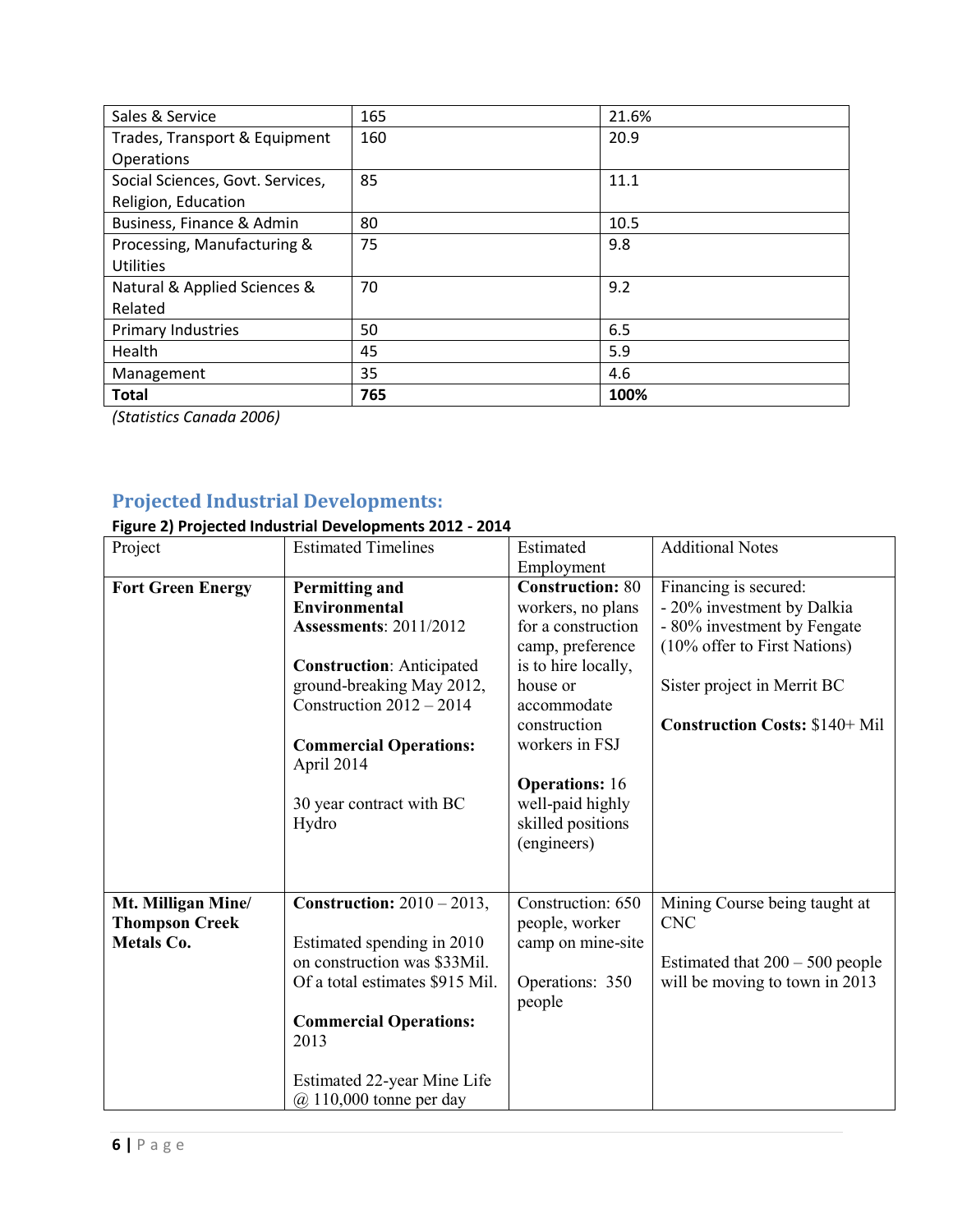| Sales & Service                  | 165 | 21.6% |
|----------------------------------|-----|-------|
| Trades, Transport & Equipment    | 160 | 20.9  |
| Operations                       |     |       |
| Social Sciences, Govt. Services, | 85  | 11.1  |
| Religion, Education              |     |       |
| Business, Finance & Admin        | 80  | 10.5  |
| Processing, Manufacturing &      | 75  | 9.8   |
| <b>Utilities</b>                 |     |       |
| Natural & Applied Sciences &     | 70  | 9.2   |
| Related                          |     |       |
| Primary Industries               | 50  | 6.5   |
| Health                           | 45  | 5.9   |
| Management                       | 35  | 4.6   |
| <b>Total</b>                     | 765 | 100%  |

*(Statistics Canada 2006)* 

### **Projected Industrial Developments:**

### **Figure 2) Projected Industrial Developments 2012 - 2014**

| Project                                                          | <b>Estimated Timelines</b>                                                                                                                                                                                                                        | Estimated                                                                                                                                                                                                               | <b>Additional Notes</b>                                                                                                                                                                    |
|------------------------------------------------------------------|---------------------------------------------------------------------------------------------------------------------------------------------------------------------------------------------------------------------------------------------------|-------------------------------------------------------------------------------------------------------------------------------------------------------------------------------------------------------------------------|--------------------------------------------------------------------------------------------------------------------------------------------------------------------------------------------|
|                                                                  |                                                                                                                                                                                                                                                   | Employment                                                                                                                                                                                                              |                                                                                                                                                                                            |
| <b>Fort Green Energy</b>                                         | <b>Permitting and</b><br>Environmental<br><b>Assessments: 2011/2012</b><br><b>Construction: Anticipated</b><br>ground-breaking May 2012,<br>Construction $2012 - 2014$<br><b>Commercial Operations:</b><br>April 2014<br>30 year contract with BC | <b>Construction: 80</b><br>workers, no plans<br>for a construction<br>camp, preference<br>is to hire locally,<br>house or<br>accommodate<br>construction<br>workers in FSJ<br><b>Operations: 16</b><br>well-paid highly | Financing is secured:<br>- 20% investment by Dalkia<br>- 80% investment by Fengate<br>(10% offer to First Nations)<br>Sister project in Merrit BC<br><b>Construction Costs: \$140+ Mil</b> |
|                                                                  | Hydro                                                                                                                                                                                                                                             | skilled positions<br>(engineers)                                                                                                                                                                                        |                                                                                                                                                                                            |
| Mt. Milligan Mine/<br><b>Thompson Creek</b><br><b>Metals Co.</b> | Construction: $2010 - 2013$ ,<br>Estimated spending in 2010<br>on construction was \$33Mil.<br>Of a total estimates \$915 Mil.<br><b>Commercial Operations:</b><br>2013<br>Estimated 22-year Mine Life<br>$(a)$ 110,000 tonne per day             | Construction: 650<br>people, worker<br>camp on mine-site<br>Operations: 350<br>people                                                                                                                                   | Mining Course being taught at<br><b>CNC</b><br>Estimated that $200 - 500$ people<br>will be moving to town in 2013                                                                         |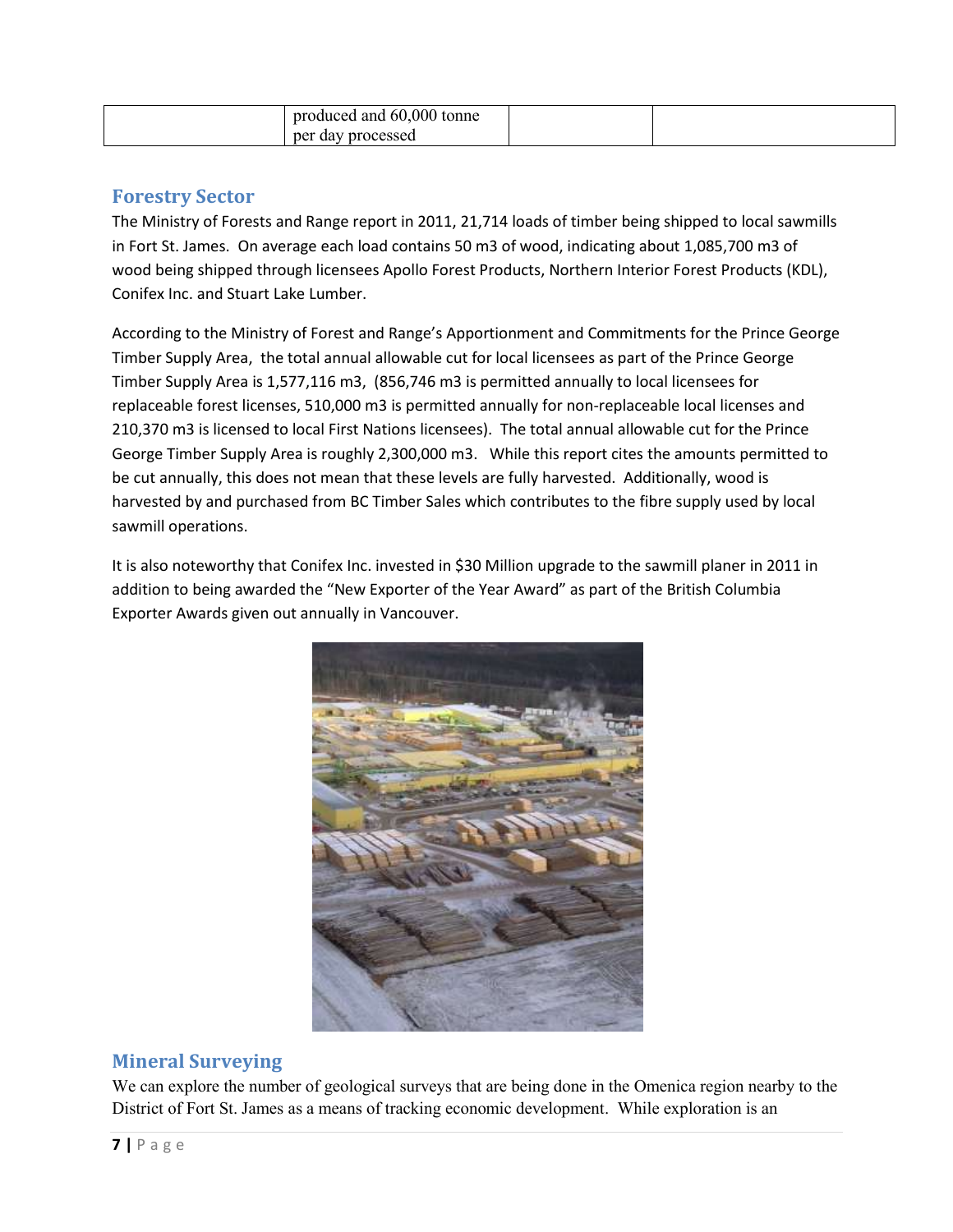| 60,000 tonne<br>produced and |  |
|------------------------------|--|
| processed<br>per<br>day      |  |

#### **Forestry Sector**

The Ministry of Forests and Range report in 2011, 21,714 loads of timber being shipped to local sawmills in Fort St. James. On average each load contains 50 m3 of wood, indicating about 1,085,700 m3 of wood being shipped through licensees Apollo Forest Products, Northern Interior Forest Products (KDL), Conifex Inc. and Stuart Lake Lumber.

According to the Ministry of Forest and Range's Apportionment and Commitments for the Prince George Timber Supply Area, the total annual allowable cut for local licensees as part of the Prince George Timber Supply Area is 1,577,116 m3, (856,746 m3 is permitted annually to local licensees for replaceable forest licenses, 510,000 m3 is permitted annually for non-replaceable local licenses and 210,370 m3 is licensed to local First Nations licensees). The total annual allowable cut for the Prince George Timber Supply Area is roughly 2,300,000 m3. While this report cites the amounts permitted to be cut annually, this does not mean that these levels are fully harvested. Additionally, wood is harvested by and purchased from BC Timber Sales which contributes to the fibre supply used by local sawmill operations.

It is also noteworthy that Conifex Inc. invested in \$30 Million upgrade to the sawmill planer in 2011 in addition to being awarded the "New Exporter of the Year Award" as part of the British Columbia Exporter Awards given out annually in Vancouver.



### **Mineral Surveying**

We can explore the number of geological surveys that are being done in the Omenica region nearby to the District of Fort St. James as a means of tracking economic development. While exploration is an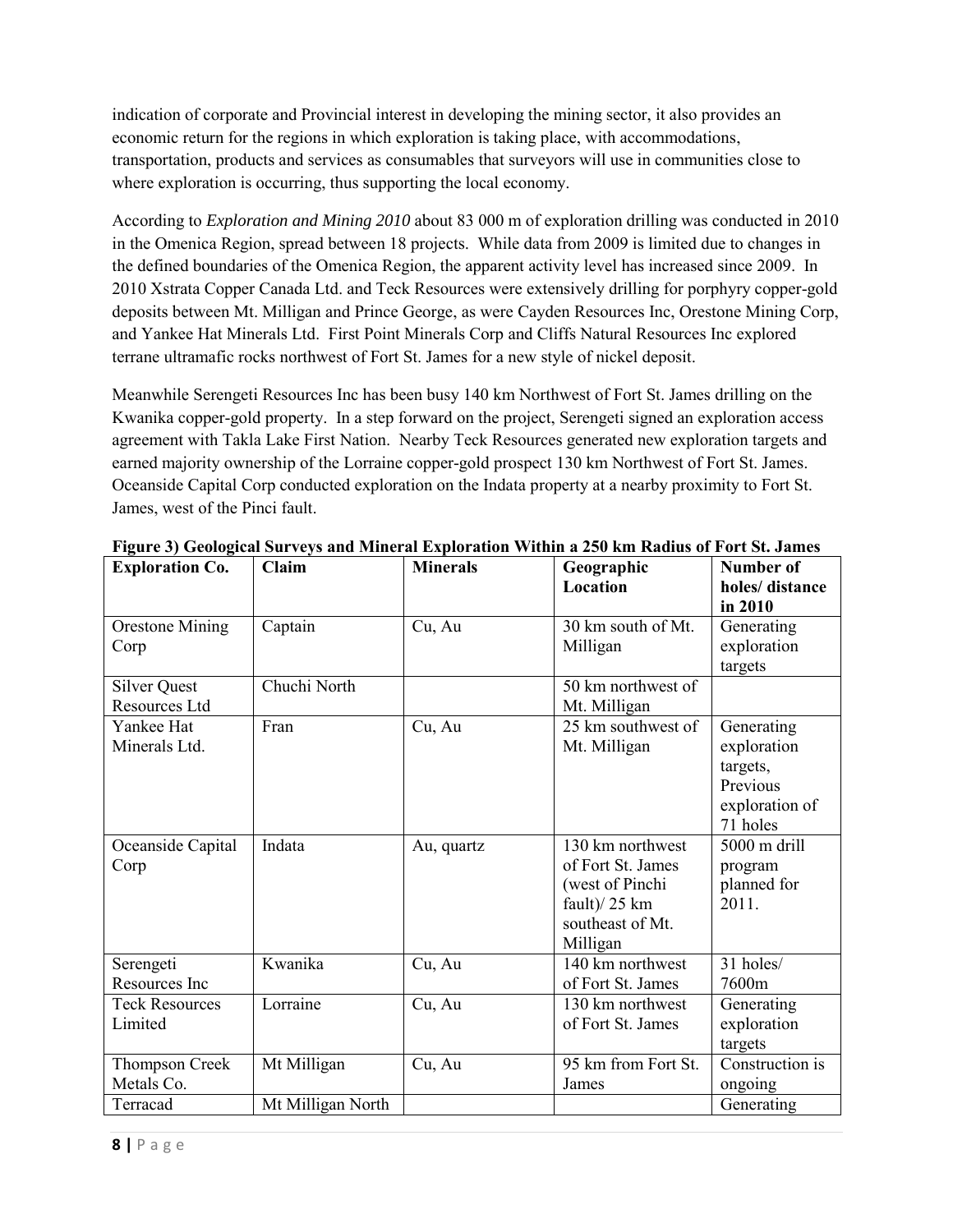indication of corporate and Provincial interest in developing the mining sector, it also provides an economic return for the regions in which exploration is taking place, with accommodations, transportation, products and services as consumables that surveyors will use in communities close to where exploration is occurring, thus supporting the local economy.

According to *Exploration and Mining 2010* about 83 000 m of exploration drilling was conducted in 2010 in the Omenica Region, spread between 18 projects. While data from 2009 is limited due to changes in the defined boundaries of the Omenica Region, the apparent activity level has increased since 2009. In 2010 Xstrata Copper Canada Ltd. and Teck Resources were extensively drilling for porphyry copper-gold deposits between Mt. Milligan and Prince George, as were Cayden Resources Inc, Orestone Mining Corp, and Yankee Hat Minerals Ltd. First Point Minerals Corp and Cliffs Natural Resources Inc explored terrane ultramafic rocks northwest of Fort St. James for a new style of nickel deposit.

Meanwhile Serengeti Resources Inc has been busy 140 km Northwest of Fort St. James drilling on the Kwanika copper-gold property. In a step forward on the project, Serengeti signed an exploration access agreement with Takla Lake First Nation. Nearby Teck Resources generated new exploration targets and earned majority ownership of the Lorraine copper-gold prospect 130 km Northwest of Fort St. James. Oceanside Capital Corp conducted exploration on the Indata property at a nearby proximity to Fort St. James, west of the Pinci fault.

| <b>Exploration Co.</b> | Claim             | <b>Minerals</b> | Geographic          | Number of       |
|------------------------|-------------------|-----------------|---------------------|-----------------|
|                        |                   |                 | Location            | holes/distance  |
|                        |                   |                 |                     | in 2010         |
| <b>Orestone Mining</b> | Captain           | Cu, Au          | 30 km south of Mt.  | Generating      |
| Corp                   |                   |                 | Milligan            | exploration     |
|                        |                   |                 |                     | targets         |
| <b>Silver Quest</b>    | Chuchi North      |                 | 50 km northwest of  |                 |
| Resources Ltd          |                   |                 | Mt. Milligan        |                 |
| Yankee Hat             | Fran              | Cu, Au          | 25 km southwest of  | Generating      |
| Minerals Ltd.          |                   |                 | Mt. Milligan        | exploration     |
|                        |                   |                 |                     | targets,        |
|                        |                   |                 |                     | Previous        |
|                        |                   |                 |                     | exploration of  |
|                        |                   |                 |                     | 71 holes        |
| Oceanside Capital      | Indata            | Au, quartz      | 130 km northwest    | 5000 m drill    |
| Corp                   |                   |                 | of Fort St. James   | program         |
|                        |                   |                 | (west of Pinchi     | planned for     |
|                        |                   |                 | fault) $/25$ km     | 2011.           |
|                        |                   |                 | southeast of Mt.    |                 |
|                        |                   |                 | Milligan            |                 |
| Serengeti              | Kwanika           | Cu, Au          | 140 km northwest    | 31 holes/       |
| Resources Inc          |                   |                 | of Fort St. James   | 7600m           |
| <b>Teck Resources</b>  | Lorraine          | Cu, Au          | 130 km northwest    | Generating      |
| Limited                |                   |                 | of Fort St. James   | exploration     |
|                        |                   |                 |                     | targets         |
| Thompson Creek         | Mt Milligan       | Cu, Au          | 95 km from Fort St. | Construction is |
| Metals Co.             |                   |                 | James               | ongoing         |
| Terracad               | Mt Milligan North |                 |                     | Generating      |

**Figure 3) Geological Surveys and Mineral Exploration Within a 250 km Radius of Fort St. James**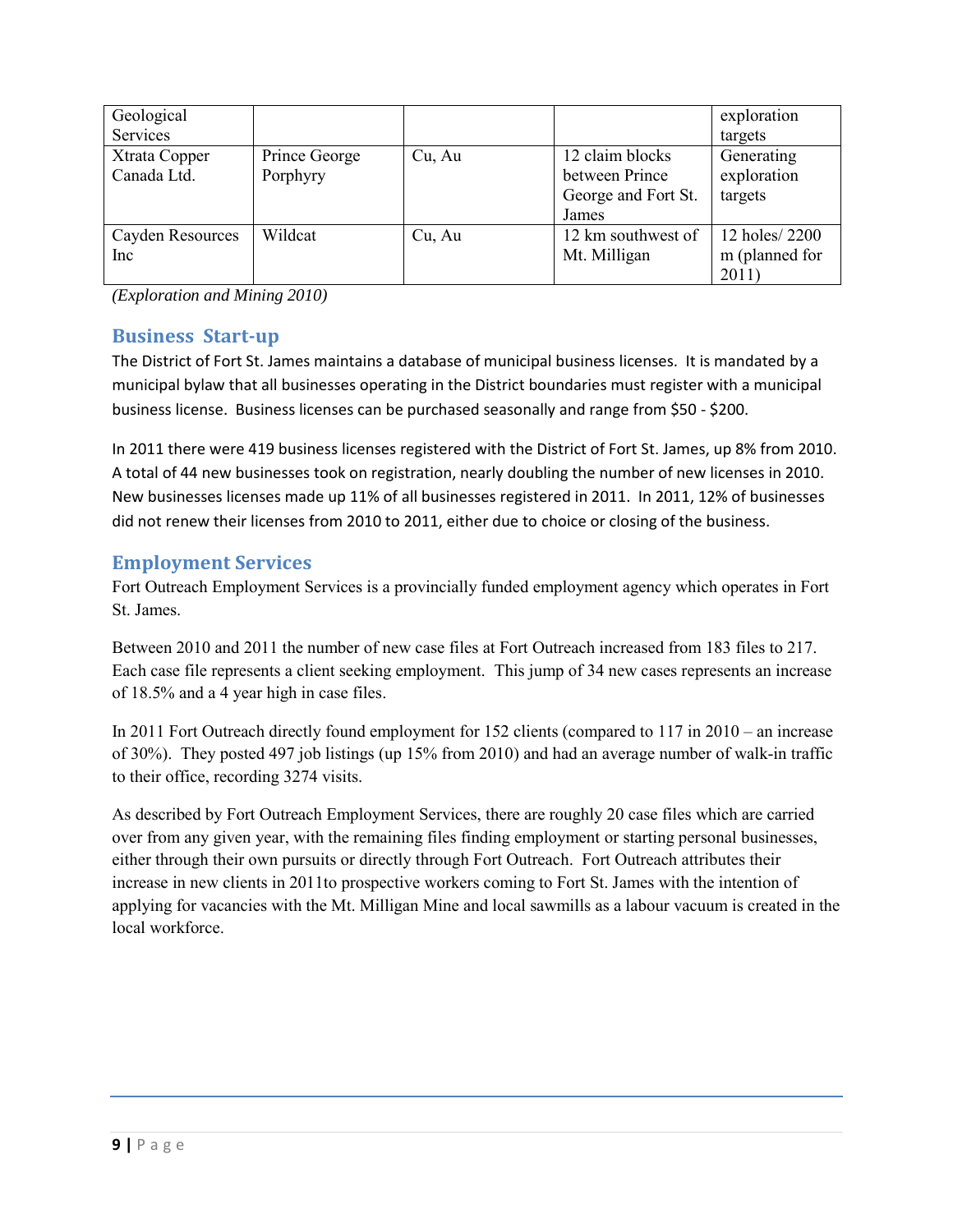| Geological                   |                           |        |                                                                   | exploration                              |
|------------------------------|---------------------------|--------|-------------------------------------------------------------------|------------------------------------------|
| Services                     |                           |        |                                                                   | targets                                  |
| Xtrata Copper<br>Canada Ltd. | Prince George<br>Porphyry | Cu, Au | 12 claim blocks<br>between Prince<br>George and Fort St.<br>James | Generating<br>exploration<br>targets     |
| Cayden Resources<br>Inc      | Wildcat                   | Cu, Au | 12 km southwest of<br>Mt. Milligan                                | 12 holes/2200<br>m (planned for<br>2011) |

*(Exploration and Mining 2010)* 

### **Business Start-up**

The District of Fort St. James maintains a database of municipal business licenses. It is mandated by a municipal bylaw that all businesses operating in the District boundaries must register with a municipal business license. Business licenses can be purchased seasonally and range from \$50 - \$200.

In 2011 there were 419 business licenses registered with the District of Fort St. James, up 8% from 2010. A total of 44 new businesses took on registration, nearly doubling the number of new licenses in 2010. New businesses licenses made up 11% of all businesses registered in 2011. In 2011, 12% of businesses did not renew their licenses from 2010 to 2011, either due to choice or closing of the business.

#### **Employment Services**

Fort Outreach Employment Services is a provincially funded employment agency which operates in Fort St. James.

Between 2010 and 2011 the number of new case files at Fort Outreach increased from 183 files to 217. Each case file represents a client seeking employment. This jump of 34 new cases represents an increase of 18.5% and a 4 year high in case files.

In 2011 Fort Outreach directly found employment for 152 clients (compared to 117 in 2010 – an increase of 30%). They posted 497 job listings (up 15% from 2010) and had an average number of walk-in traffic to their office, recording 3274 visits.

As described by Fort Outreach Employment Services, there are roughly 20 case files which are carried over from any given year, with the remaining files finding employment or starting personal businesses, either through their own pursuits or directly through Fort Outreach. Fort Outreach attributes their increase in new clients in 2011to prospective workers coming to Fort St. James with the intention of applying for vacancies with the Mt. Milligan Mine and local sawmills as a labour vacuum is created in the local workforce.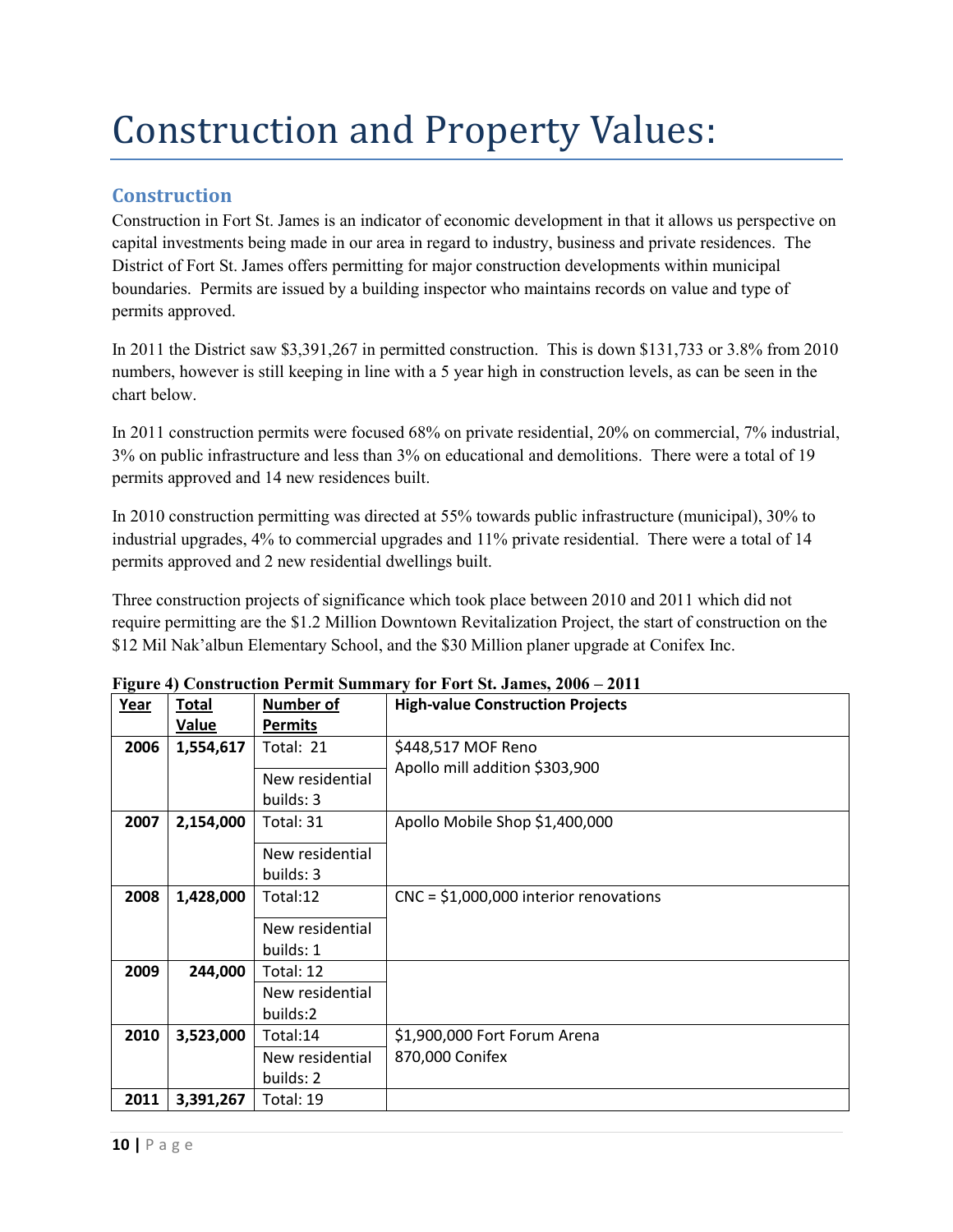## Construction and Property Values:

### **Construction**

Construction in Fort St. James is an indicator of economic development in that it allows us perspective on capital investments being made in our area in regard to industry, business and private residences. The District of Fort St. James offers permitting for major construction developments within municipal boundaries. Permits are issued by a building inspector who maintains records on value and type of permits approved.

In 2011 the District saw \$3,391,267 in permitted construction. This is down \$131,733 or 3.8% from 2010 numbers, however is still keeping in line with a 5 year high in construction levels, as can be seen in the chart below.

In 2011 construction permits were focused 68% on private residential, 20% on commercial, 7% industrial, 3% on public infrastructure and less than 3% on educational and demolitions. There were a total of 19 permits approved and 14 new residences built.

In 2010 construction permitting was directed at 55% towards public infrastructure (municipal), 30% to industrial upgrades, 4% to commercial upgrades and 11% private residential. There were a total of 14 permits approved and 2 new residential dwellings built.

Three construction projects of significance which took place between 2010 and 2011 which did not require permitting are the \$1.2 Million Downtown Revitalization Project, the start of construction on the \$12 Mil Nak'albun Elementary School, and the \$30 Million planer upgrade at Conifex Inc.

| $+$<br>Year | <b>Total</b> | <b>Number of</b>             | <b>High-value Construction Projects</b> |
|-------------|--------------|------------------------------|-----------------------------------------|
|             | <b>Value</b> | <b>Permits</b>               |                                         |
| 2006        | 1,554,617    | Total: 21                    | \$448,517 MOF Reno                      |
|             |              | New residential<br>builds: 3 | Apollo mill addition \$303,900          |
| 2007        | 2,154,000    | Total: 31                    | Apollo Mobile Shop \$1,400,000          |
|             |              | New residential              |                                         |
|             |              | builds: 3                    |                                         |
| 2008        | 1,428,000    | Total:12                     | $CNC = $1,000,000$ interior renovations |
|             |              |                              |                                         |
|             |              | New residential              |                                         |
|             |              | builds: 1                    |                                         |
| 2009        | 244,000      | Total: 12                    |                                         |
|             |              | New residential              |                                         |
|             |              | builds:2                     |                                         |
| 2010        | 3,523,000    | Total:14                     | \$1,900,000 Fort Forum Arena            |
|             |              | New residential              | 870,000 Conifex                         |
|             |              | builds: 2                    |                                         |
| 2011        | 3,391,267    | Total: 19                    |                                         |

**Figure 4) Construction Permit Summary for Fort St. James, 2006 – 2011**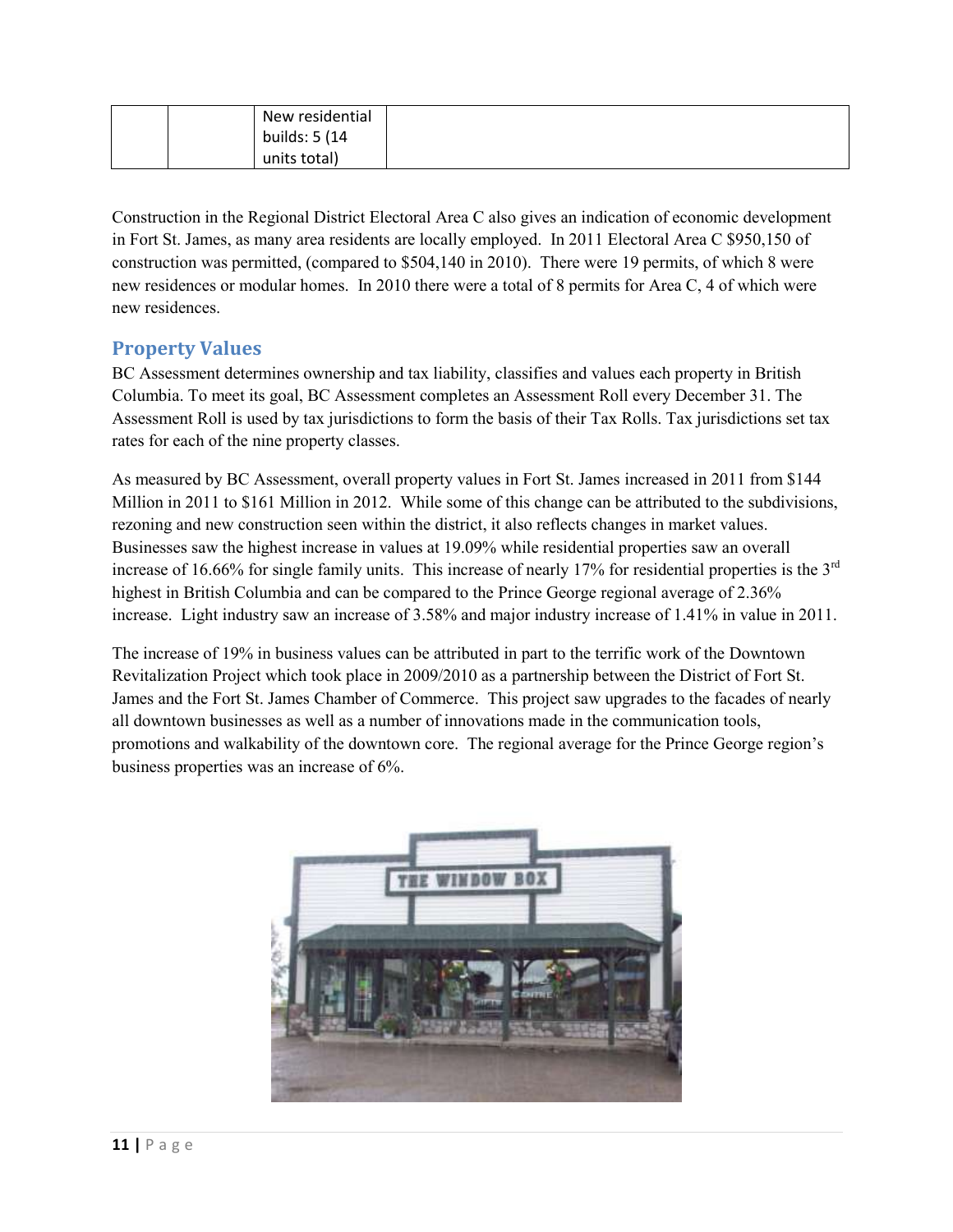| New residential |  |
|-----------------|--|
| builds: 5 (14   |  |
| units total)    |  |

Construction in the Regional District Electoral Area C also gives an indication of economic development in Fort St. James, as many area residents are locally employed. In 2011 Electoral Area C \$950,150 of construction was permitted, (compared to \$504,140 in 2010). There were 19 permits, of which 8 were new residences or modular homes. In 2010 there were a total of 8 permits for Area C, 4 of which were new residences.

### **Property Values**

BC Assessment determines ownership and tax liability, classifies and values each property in British Columbia. To meet its goal, BC Assessment completes an Assessment Roll every December 31. The Assessment Roll is used by tax jurisdictions to form the basis of their Tax Rolls. Tax jurisdictions set tax rates for each of the nine property classes.

As measured by BC Assessment, overall property values in Fort St. James increased in 2011 from \$144 Million in 2011 to \$161 Million in 2012. While some of this change can be attributed to the subdivisions, rezoning and new construction seen within the district, it also reflects changes in market values. Businesses saw the highest increase in values at 19.09% while residential properties saw an overall increase of 16.66% for single family units. This increase of nearly 17% for residential properties is the 3<sup>rd</sup> highest in British Columbia and can be compared to the Prince George regional average of 2.36% increase. Light industry saw an increase of 3.58% and major industry increase of 1.41% in value in 2011.

The increase of 19% in business values can be attributed in part to the terrific work of the Downtown Revitalization Project which took place in 2009/2010 as a partnership between the District of Fort St. James and the Fort St. James Chamber of Commerce. This project saw upgrades to the facades of nearly all downtown businesses as well as a number of innovations made in the communication tools, promotions and walkability of the downtown core. The regional average for the Prince George region's business properties was an increase of 6%.

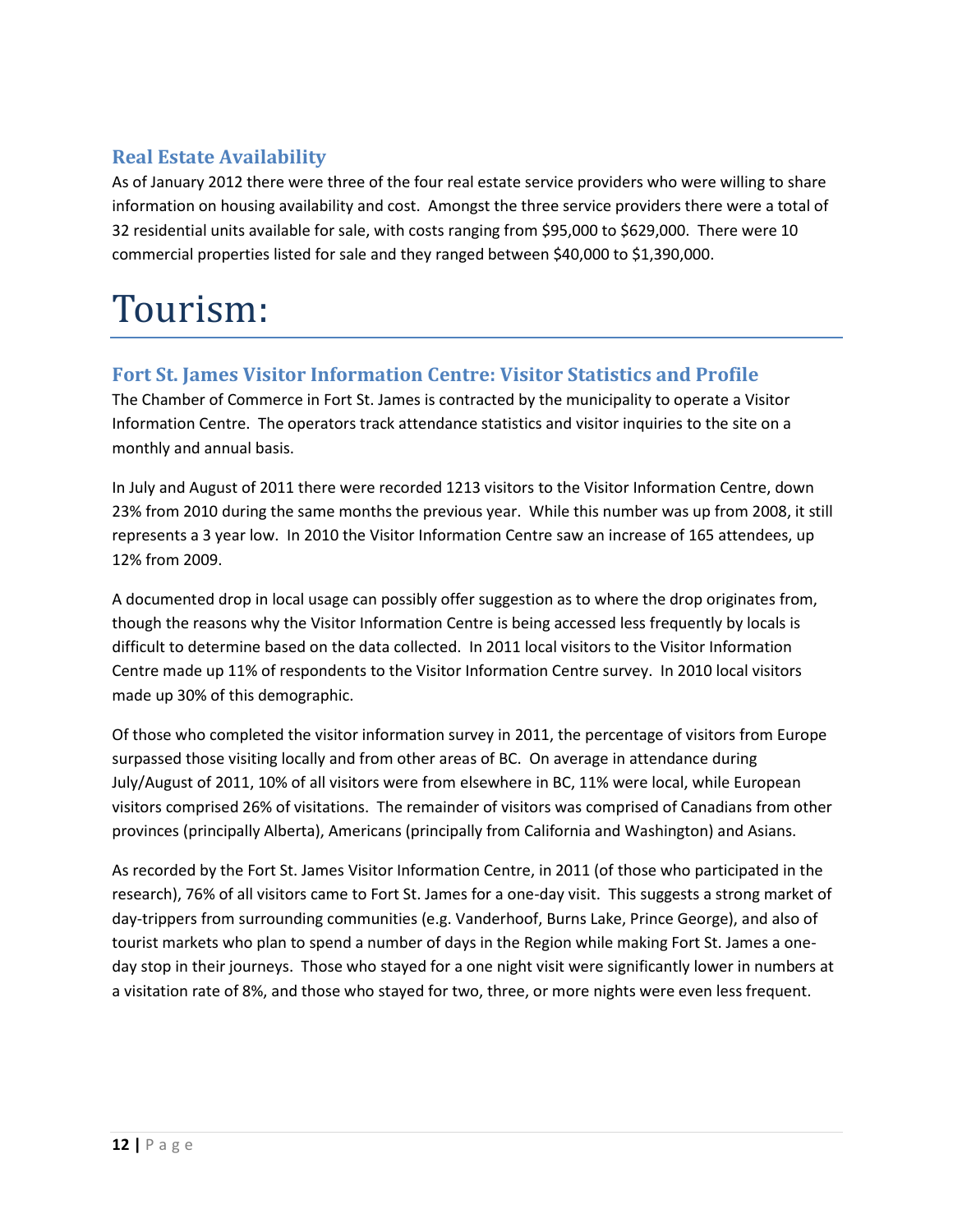### **Real Estate Availability**

As of January 2012 there were three of the four real estate service providers who were willing to share information on housing availability and cost. Amongst the three service providers there were a total of 32 residential units available for sale, with costs ranging from \$95,000 to \$629,000. There were 10 commercial properties listed for sale and they ranged between \$40,000 to \$1,390,000.

### Tourism:

### **Fort St. James Visitor Information Centre: Visitor Statistics and Profile**

The Chamber of Commerce in Fort St. James is contracted by the municipality to operate a Visitor Information Centre. The operators track attendance statistics and visitor inquiries to the site on a monthly and annual basis.

In July and August of 2011 there were recorded 1213 visitors to the Visitor Information Centre, down 23% from 2010 during the same months the previous year. While this number was up from 2008, it still represents a 3 year low. In 2010 the Visitor Information Centre saw an increase of 165 attendees, up 12% from 2009.

A documented drop in local usage can possibly offer suggestion as to where the drop originates from, though the reasons why the Visitor Information Centre is being accessed less frequently by locals is difficult to determine based on the data collected. In 2011 local visitors to the Visitor Information Centre made up 11% of respondents to the Visitor Information Centre survey. In 2010 local visitors made up 30% of this demographic.

Of those who completed the visitor information survey in 2011, the percentage of visitors from Europe surpassed those visiting locally and from other areas of BC. On average in attendance during July/August of 2011, 10% of all visitors were from elsewhere in BC, 11% were local, while European visitors comprised 26% of visitations. The remainder of visitors was comprised of Canadians from other provinces (principally Alberta), Americans (principally from California and Washington) and Asians.

As recorded by the Fort St. James Visitor Information Centre, in 2011 (of those who participated in the research), 76% of all visitors came to Fort St. James for a one-day visit. This suggests a strong market of day-trippers from surrounding communities (e.g. Vanderhoof, Burns Lake, Prince George), and also of tourist markets who plan to spend a number of days in the Region while making Fort St. James a oneday stop in their journeys. Those who stayed for a one night visit were significantly lower in numbers at a visitation rate of 8%, and those who stayed for two, three, or more nights were even less frequent.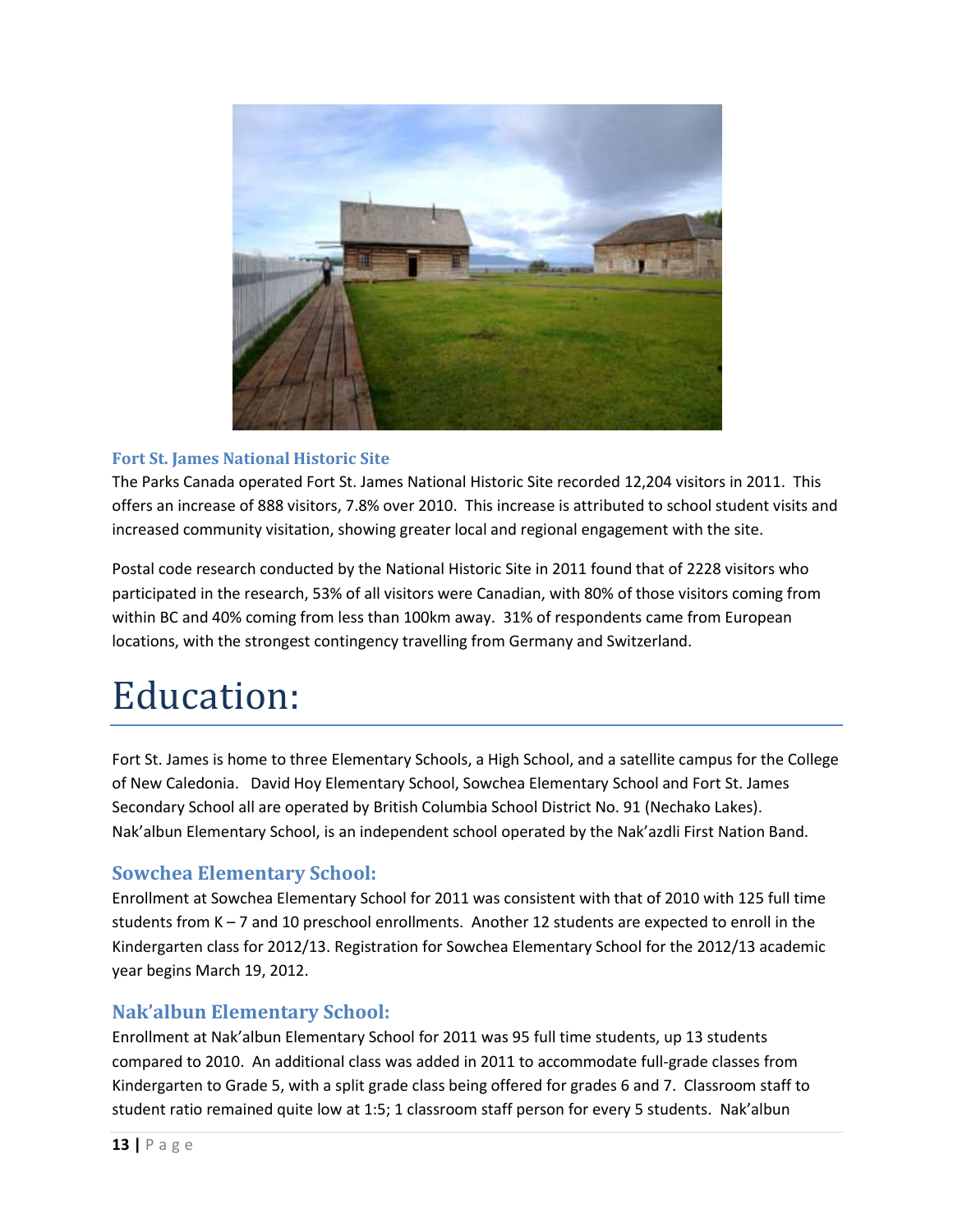

#### **Fort St. James National Historic Site**

The Parks Canada operated Fort St. James National Historic Site recorded 12,204 visitors in 2011. This offers an increase of 888 visitors, 7.8% over 2010. This increase is attributed to school student visits and increased community visitation, showing greater local and regional engagement with the site.

Postal code research conducted by the National Historic Site in 2011 found that of 2228 visitors who participated in the research, 53% of all visitors were Canadian, with 80% of those visitors coming from within BC and 40% coming from less than 100km away. 31% of respondents came from European locations, with the strongest contingency travelling from Germany and Switzerland.

### Education:

Fort St. James is home to three Elementary Schools, a High School, and a satellite campus for the College of New Caledonia. David Hoy Elementary School, Sowchea Elementary School and Fort St. James Secondary School all are operated by British Columbia School District No. 91 (Nechako Lakes). Nak'albun Elementary School, is an independent school operated by the Nak'azdli First Nation Band.

### **Sowchea Elementary School:**

Enrollment at Sowchea Elementary School for 2011 was consistent with that of 2010 with 125 full time students from K – 7 and 10 preschool enrollments. Another 12 students are expected to enroll in the Kindergarten class for 2012/13. Registration for Sowchea Elementary School for the 2012/13 academic year begins March 19, 2012.

#### **Nak'albun Elementary School:**

Enrollment at Nak'albun Elementary School for 2011 was 95 full time students, up 13 students compared to 2010. An additional class was added in 2011 to accommodate full-grade classes from Kindergarten to Grade 5, with a split grade class being offered for grades 6 and 7. Classroom staff to student ratio remained quite low at 1:5; 1 classroom staff person for every 5 students. Nak'albun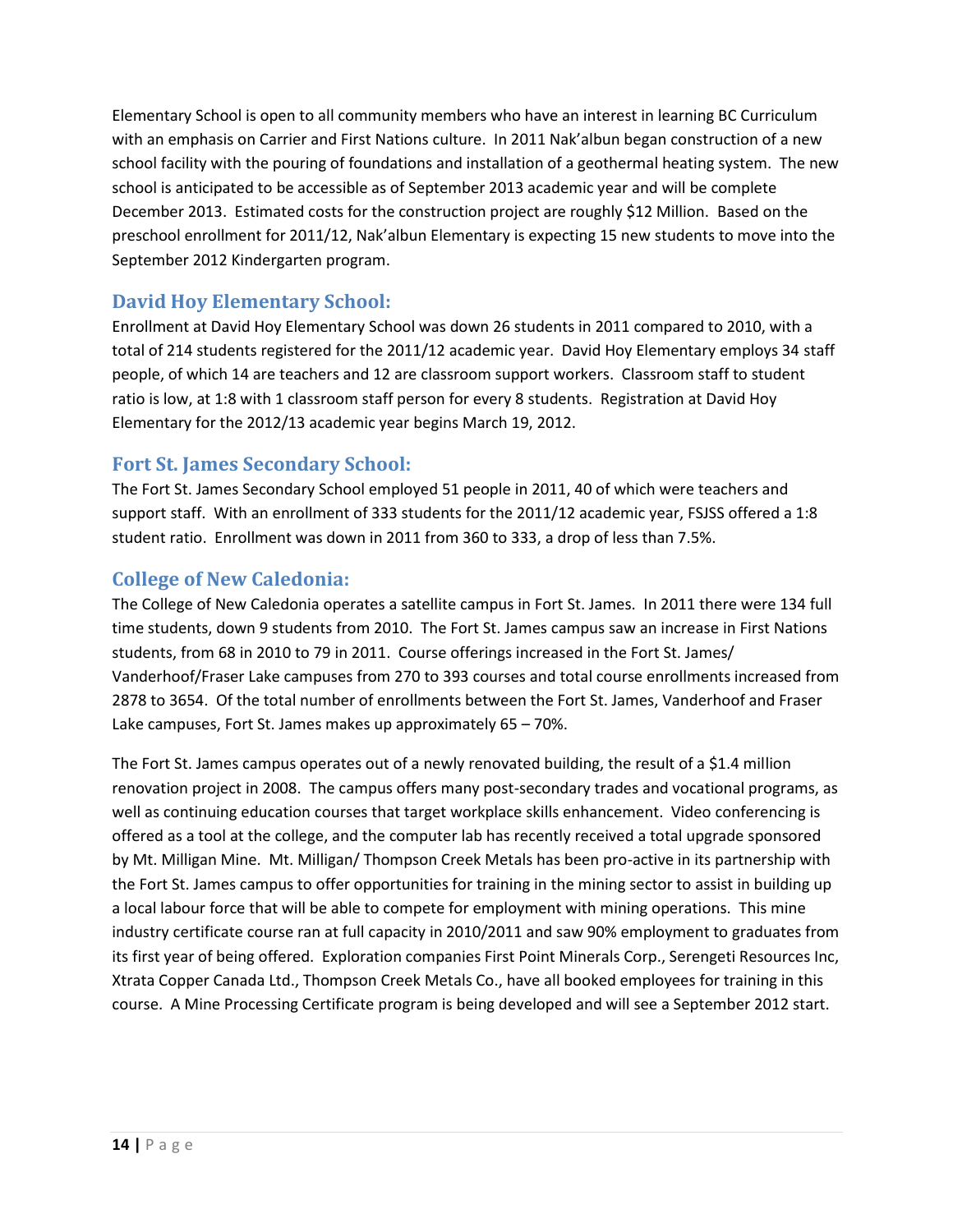Elementary School is open to all community members who have an interest in learning BC Curriculum with an emphasis on Carrier and First Nations culture. In 2011 Nak'albun began construction of a new school facility with the pouring of foundations and installation of a geothermal heating system. The new school is anticipated to be accessible as of September 2013 academic year and will be complete December 2013. Estimated costs for the construction project are roughly \$12 Million. Based on the preschool enrollment for 2011/12, Nak'albun Elementary is expecting 15 new students to move into the September 2012 Kindergarten program.

### **David Hoy Elementary School:**

Enrollment at David Hoy Elementary School was down 26 students in 2011 compared to 2010, with a total of 214 students registered for the 2011/12 academic year. David Hoy Elementary employs 34 staff people, of which 14 are teachers and 12 are classroom support workers. Classroom staff to student ratio is low, at 1:8 with 1 classroom staff person for every 8 students. Registration at David Hoy Elementary for the 2012/13 academic year begins March 19, 2012.

#### **Fort St. James Secondary School:**

The Fort St. James Secondary School employed 51 people in 2011, 40 of which were teachers and support staff. With an enrollment of 333 students for the 2011/12 academic year, FSJSS offered a 1:8 student ratio. Enrollment was down in 2011 from 360 to 333, a drop of less than 7.5%.

### **College of New Caledonia:**

The College of New Caledonia operates a satellite campus in Fort St. James. In 2011 there were 134 full time students, down 9 students from 2010. The Fort St. James campus saw an increase in First Nations students, from 68 in 2010 to 79 in 2011. Course offerings increased in the Fort St. James/ Vanderhoof/Fraser Lake campuses from 270 to 393 courses and total course enrollments increased from 2878 to 3654. Of the total number of enrollments between the Fort St. James, Vanderhoof and Fraser Lake campuses, Fort St. James makes up approximately 65 – 70%.

The Fort St. James campus operates out of a newly renovated building, the result of a \$1.4 million renovation project in 2008. The campus offers many post-secondary trades and vocational programs, as well as continuing education courses that target workplace skills enhancement. Video conferencing is offered as a tool at the college, and the computer lab has recently received a total upgrade sponsored by Mt. Milligan Mine. Mt. Milligan/ Thompson Creek Metals has been pro-active in its partnership with the Fort St. James campus to offer opportunities for training in the mining sector to assist in building up a local labour force that will be able to compete for employment with mining operations. This mine industry certificate course ran at full capacity in 2010/2011 and saw 90% employment to graduates from its first year of being offered. Exploration companies First Point Minerals Corp., Serengeti Resources Inc, Xtrata Copper Canada Ltd., Thompson Creek Metals Co., have all booked employees for training in this course. A Mine Processing Certificate program is being developed and will see a September 2012 start.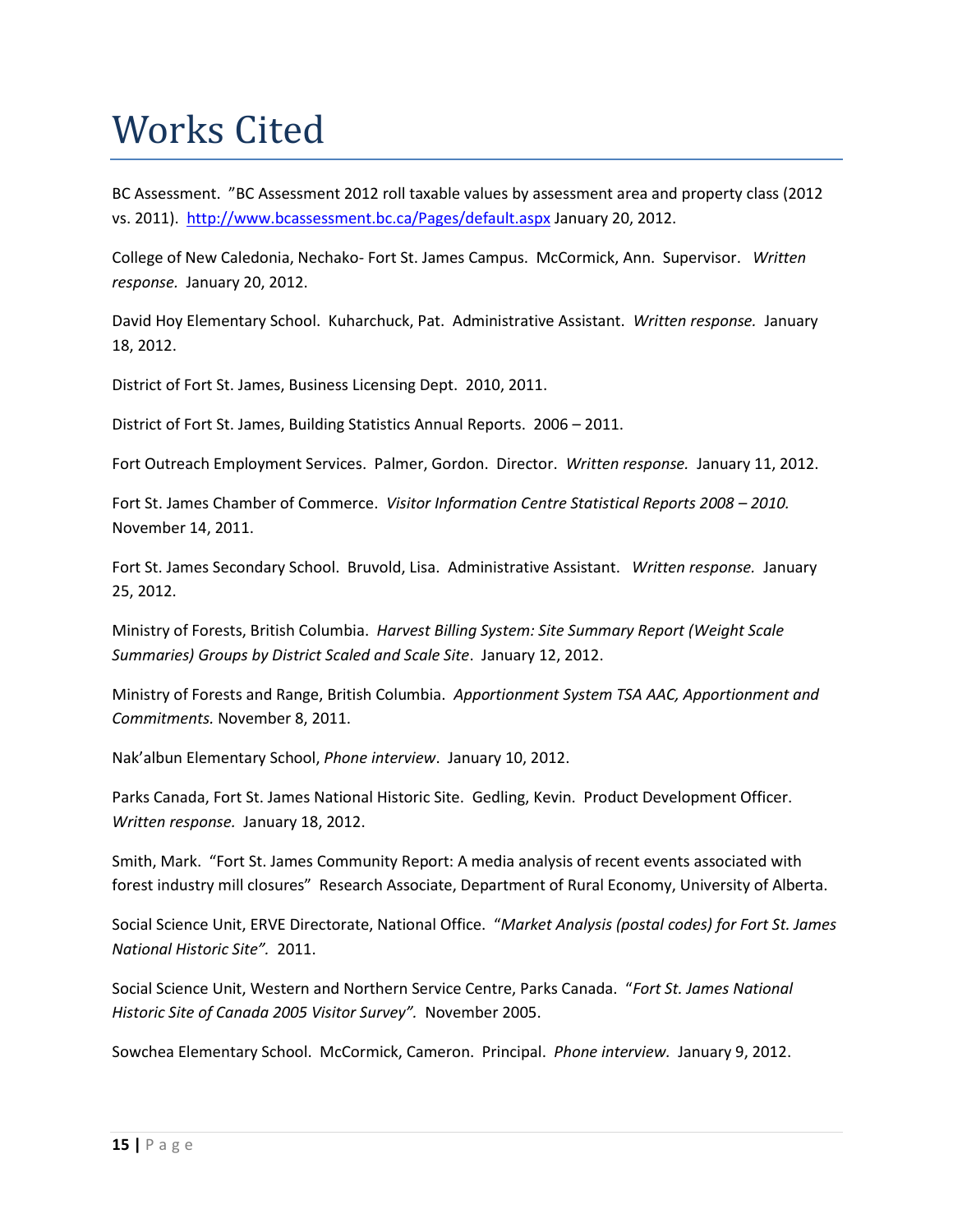### Works Cited

BC Assessment. "BC Assessment 2012 roll taxable values by assessment area and property class (2012 vs. 2011). <http://www.bcassessment.bc.ca/Pages/default.aspx>January 20, 2012.

College of New Caledonia, Nechako- Fort St. James Campus. McCormick, Ann. Supervisor. *Written response.* January 20, 2012.

David Hoy Elementary School. Kuharchuck, Pat. Administrative Assistant. *Written response.* January 18, 2012.

District of Fort St. James, Business Licensing Dept. 2010, 2011.

District of Fort St. James, Building Statistics Annual Reports. 2006 – 2011.

Fort Outreach Employment Services. Palmer, Gordon. Director. *Written response.* January 11, 2012.

Fort St. James Chamber of Commerce. *Visitor Information Centre Statistical Reports 2008 – 2010.* November 14, 2011.

Fort St. James Secondary School. Bruvold, Lisa. Administrative Assistant. *Written response.* January 25, 2012.

Ministry of Forests, British Columbia. *Harvest Billing System: Site Summary Report (Weight Scale Summaries) Groups by District Scaled and Scale Site*. January 12, 2012.

Ministry of Forests and Range, British Columbia. *Apportionment System TSA AAC, Apportionment and Commitments.* November 8, 2011.

Nak'albun Elementary School, *Phone interview*. January 10, 2012.

Parks Canada, Fort St. James National Historic Site. Gedling, Kevin. Product Development Officer. *Written response.* January 18, 2012.

Smith, Mark. "Fort St. James Community Report: A media analysis of recent events associated with forest industry mill closures" Research Associate, Department of Rural Economy, University of Alberta.

Social Science Unit, ERVE Directorate, National Office. "*Market Analysis (postal codes) for Fort St. James National Historic Site".* 2011.

Social Science Unit, Western and Northern Service Centre, Parks Canada. "*Fort St. James National Historic Site of Canada 2005 Visitor Survey".* November 2005.

Sowchea Elementary School. McCormick, Cameron. Principal. *Phone interview.* January 9, 2012.